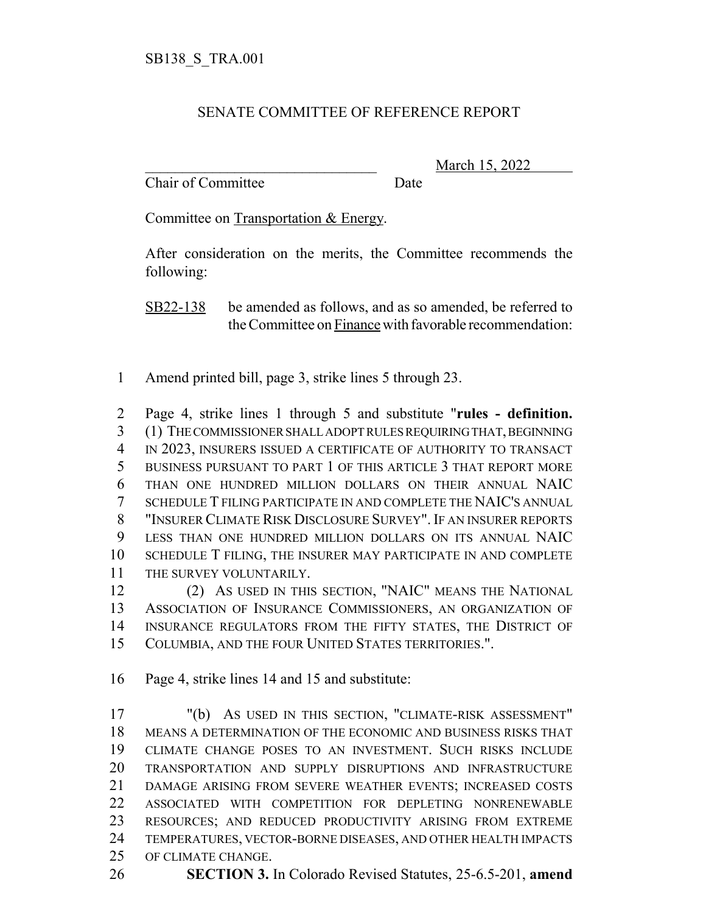## SENATE COMMITTEE OF REFERENCE REPORT

Chair of Committee Date

\_\_\_\_\_\_\_\_\_\_\_\_\_\_\_\_\_\_\_\_\_\_\_\_\_\_\_\_\_\_\_ March 15, 2022

Committee on Transportation & Energy.

After consideration on the merits, the Committee recommends the following:

SB22-138 be amended as follows, and as so amended, be referred to the Committee on Finance with favorable recommendation:

Amend printed bill, page 3, strike lines 5 through 23.

 Page 4, strike lines 1 through 5 and substitute "**rules - definition.** (1) THE COMMISSIONER SHALL ADOPT RULES REQUIRING THAT, BEGINNING IN 2023, INSURERS ISSUED A CERTIFICATE OF AUTHORITY TO TRANSACT BUSINESS PURSUANT TO PART 1 OF THIS ARTICLE 3 THAT REPORT MORE THAN ONE HUNDRED MILLION DOLLARS ON THEIR ANNUAL NAIC SCHEDULE T FILING PARTICIPATE IN AND COMPLETE THE NAIC'S ANNUAL "INSURER CLIMATE RISK DISCLOSURE SURVEY". IF AN INSURER REPORTS LESS THAN ONE HUNDRED MILLION DOLLARS ON ITS ANNUAL NAIC SCHEDULE T FILING, THE INSURER MAY PARTICIPATE IN AND COMPLETE THE SURVEY VOLUNTARILY.

 (2) AS USED IN THIS SECTION, "NAIC" MEANS THE NATIONAL ASSOCIATION OF INSURANCE COMMISSIONERS, AN ORGANIZATION OF INSURANCE REGULATORS FROM THE FIFTY STATES, THE DISTRICT OF COLUMBIA, AND THE FOUR UNITED STATES TERRITORIES.".

Page 4, strike lines 14 and 15 and substitute:

 "(b) AS USED IN THIS SECTION, "CLIMATE-RISK ASSESSMENT" MEANS A DETERMINATION OF THE ECONOMIC AND BUSINESS RISKS THAT CLIMATE CHANGE POSES TO AN INVESTMENT. SUCH RISKS INCLUDE TRANSPORTATION AND SUPPLY DISRUPTIONS AND INFRASTRUCTURE DAMAGE ARISING FROM SEVERE WEATHER EVENTS; INCREASED COSTS ASSOCIATED WITH COMPETITION FOR DEPLETING NONRENEWABLE RESOURCES; AND REDUCED PRODUCTIVITY ARISING FROM EXTREME TEMPERATURES, VECTOR-BORNE DISEASES, AND OTHER HEALTH IMPACTS OF CLIMATE CHANGE.

**SECTION 3.** In Colorado Revised Statutes, 25-6.5-201, **amend**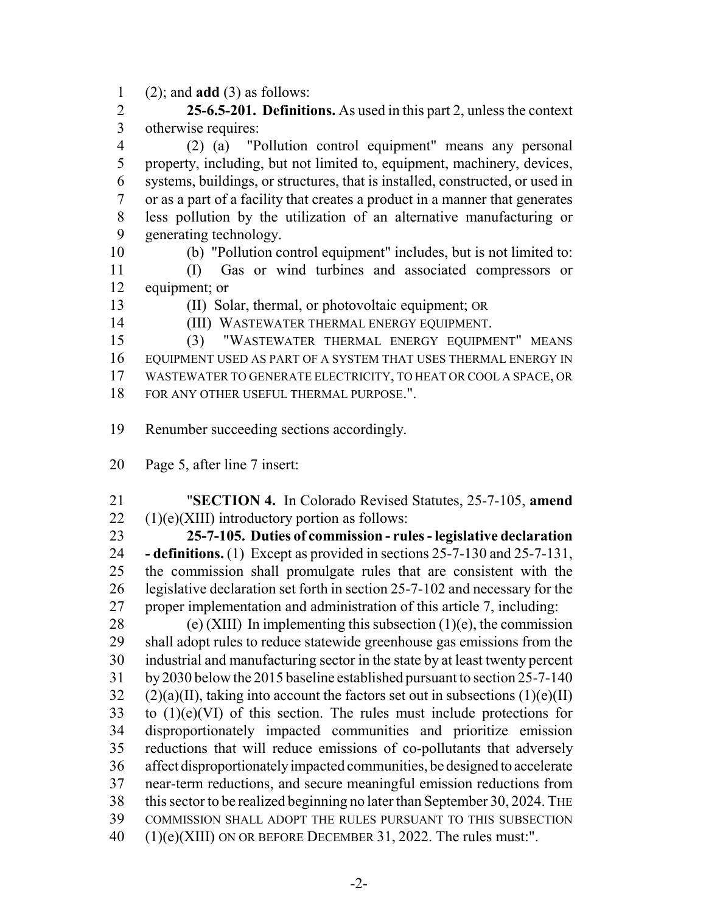(2); and **add** (3) as follows:

 **25-6.5-201. Definitions.** As used in this part 2, unless the context otherwise requires:

 (2) (a) "Pollution control equipment" means any personal property, including, but not limited to, equipment, machinery, devices, systems, buildings, or structures, that is installed, constructed, or used in or as a part of a facility that creates a product in a manner that generates less pollution by the utilization of an alternative manufacturing or generating technology.

(b) "Pollution control equipment" includes, but is not limited to:

 (I) Gas or wind turbines and associated compressors or 12 equipment;  $\sigma$ 

(II) Solar, thermal, or photovoltaic equipment; OR

(III) WASTEWATER THERMAL ENERGY EQUIPMENT.

 (3) "WASTEWATER THERMAL ENERGY EQUIPMENT" MEANS EQUIPMENT USED AS PART OF A SYSTEM THAT USES THERMAL ENERGY IN WASTEWATER TO GENERATE ELECTRICITY, TO HEAT OR COOL A SPACE, OR FOR ANY OTHER USEFUL THERMAL PURPOSE.".

Renumber succeeding sections accordingly.

Page 5, after line 7 insert:

 "**SECTION 4.** In Colorado Revised Statutes, 25-7-105, **amend** (1)(e)(XIII) introductory portion as follows:

 **25-7-105. Duties of commission - rules - legislative declaration - definitions.** (1) Except as provided in sections 25-7-130 and 25-7-131, the commission shall promulgate rules that are consistent with the legislative declaration set forth in section 25-7-102 and necessary for the proper implementation and administration of this article 7, including:

28 (e) (XIII) In implementing this subsection  $(1)(e)$ , the commission shall adopt rules to reduce statewide greenhouse gas emissions from the industrial and manufacturing sector in the state by at least twenty percent by 2030 below the 2015 baseline established pursuant to section 25-7-140 (2)(a)(II), taking into account the factors set out in subsections (1)(e)(II) to  $(1)(e)(VI)$  of this section. The rules must include protections for disproportionately impacted communities and prioritize emission reductions that will reduce emissions of co-pollutants that adversely affect disproportionately impacted communities, be designed to accelerate near-term reductions, and secure meaningful emission reductions from this sector to be realized beginning no later than September 30, 2024. THE COMMISSION SHALL ADOPT THE RULES PURSUANT TO THIS SUBSECTION (1)(e)(XIII) ON OR BEFORE DECEMBER 31, 2022. The rules must:".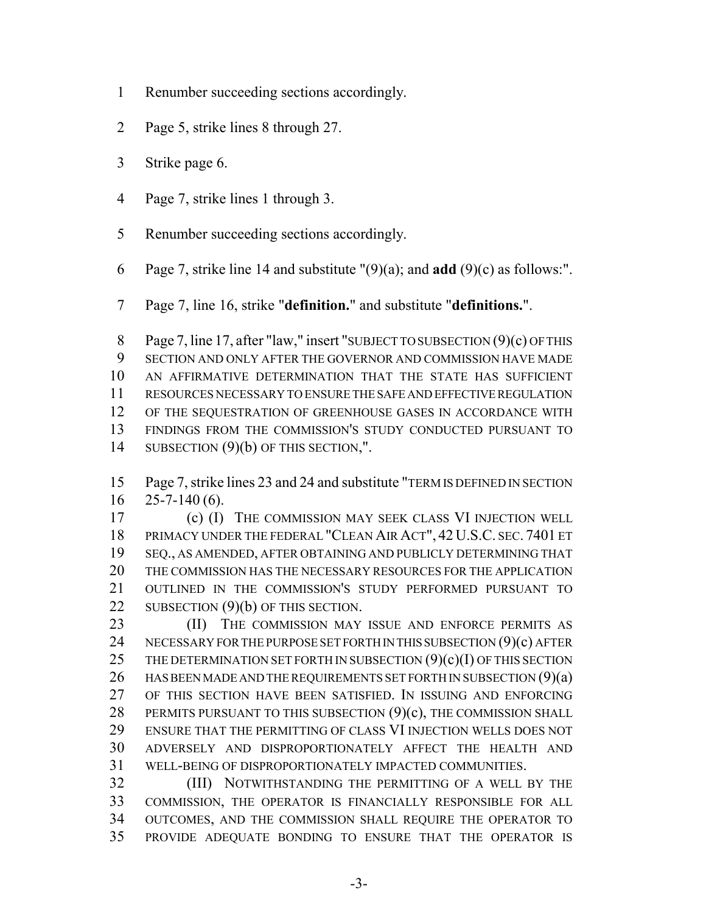- Renumber succeeding sections accordingly.
- Page 5, strike lines 8 through 27.
- Strike page 6.
- Page 7, strike lines 1 through 3.
- Renumber succeeding sections accordingly.
- Page 7, strike line 14 and substitute "(9)(a); and **add** (9)(c) as follows:".
- Page 7, line 16, strike "**definition.**" and substitute "**definitions.**".

 Page 7, line 17, after "law," insert "SUBJECT TO SUBSECTION (9)(c) OF THIS SECTION AND ONLY AFTER THE GOVERNOR AND COMMISSION HAVE MADE AN AFFIRMATIVE DETERMINATION THAT THE STATE HAS SUFFICIENT RESOURCES NECESSARY TO ENSURE THE SAFE AND EFFECTIVE REGULATION OF THE SEQUESTRATION OF GREENHOUSE GASES IN ACCORDANCE WITH FINDINGS FROM THE COMMISSION'S STUDY CONDUCTED PURSUANT TO SUBSECTION (9)(b) OF THIS SECTION,".

 Page 7, strike lines 23 and 24 and substitute "TERM IS DEFINED IN SECTION  $16 \quad 25 - 7 - 140 \, (6)$ .

 (c) (I) THE COMMISSION MAY SEEK CLASS VI INJECTION WELL PRIMACY UNDER THE FEDERAL "CLEAN AIR ACT", 42 U.S.C. SEC. 7401 ET SEQ., AS AMENDED, AFTER OBTAINING AND PUBLICLY DETERMINING THAT THE COMMISSION HAS THE NECESSARY RESOURCES FOR THE APPLICATION OUTLINED IN THE COMMISSION'S STUDY PERFORMED PURSUANT TO 22 SUBSECTION (9)(b) OF THIS SECTION.

23 (II) THE COMMISSION MAY ISSUE AND ENFORCE PERMITS AS 24 NECESSARY FOR THE PURPOSE SET FORTH IN THIS SUBSECTION (9)(c) AFTER 25 THE DETERMINATION SET FORTH IN SUBSECTION  $(9)(c)(I)$  OF THIS SECTION 26 HAS BEEN MADE AND THE REQUIREMENTS SET FORTH IN SUBSECTION  $(9)(a)$  OF THIS SECTION HAVE BEEN SATISFIED. IN ISSUING AND ENFORCING 28 PERMITS PURSUANT TO THIS SUBSECTION (9)(c), THE COMMISSION SHALL ENSURE THAT THE PERMITTING OF CLASS VI INJECTION WELLS DOES NOT ADVERSELY AND DISPROPORTIONATELY AFFECT THE HEALTH AND WELL-BEING OF DISPROPORTIONATELY IMPACTED COMMUNITIES.

 (III) NOTWITHSTANDING THE PERMITTING OF A WELL BY THE COMMISSION, THE OPERATOR IS FINANCIALLY RESPONSIBLE FOR ALL OUTCOMES, AND THE COMMISSION SHALL REQUIRE THE OPERATOR TO PROVIDE ADEQUATE BONDING TO ENSURE THAT THE OPERATOR IS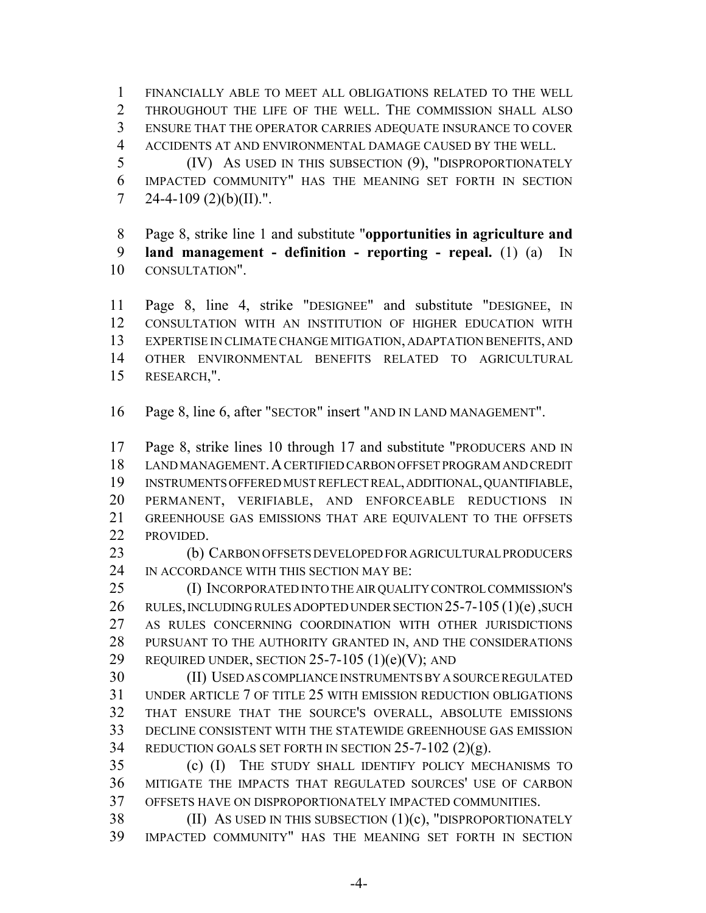FINANCIALLY ABLE TO MEET ALL OBLIGATIONS RELATED TO THE WELL THROUGHOUT THE LIFE OF THE WELL. THE COMMISSION SHALL ALSO ENSURE THAT THE OPERATOR CARRIES ADEQUATE INSURANCE TO COVER ACCIDENTS AT AND ENVIRONMENTAL DAMAGE CAUSED BY THE WELL.

 (IV) AS USED IN THIS SUBSECTION (9), "DISPROPORTIONATELY IMPACTED COMMUNITY" HAS THE MEANING SET FORTH IN SECTION 7 24-4-109  $(2)(b)(II)$ .".

 Page 8, strike line 1 and substitute "**opportunities in agriculture and land management - definition - reporting - repeal.** (1) (a) IN CONSULTATION".

 Page 8, line 4, strike "DESIGNEE" and substitute "DESIGNEE, IN CONSULTATION WITH AN INSTITUTION OF HIGHER EDUCATION WITH EXPERTISE IN CLIMATE CHANGE MITIGATION, ADAPTATION BENEFITS, AND OTHER ENVIRONMENTAL BENEFITS RELATED TO AGRICULTURAL RESEARCH,".

Page 8, line 6, after "SECTOR" insert "AND IN LAND MANAGEMENT".

 Page 8, strike lines 10 through 17 and substitute "PRODUCERS AND IN LAND MANAGEMENT.A CERTIFIED CARBON OFFSET PROGRAM AND CREDIT INSTRUMENTS OFFERED MUST REFLECT REAL, ADDITIONAL, QUANTIFIABLE, PERMANENT, VERIFIABLE, AND ENFORCEABLE REDUCTIONS IN GREENHOUSE GAS EMISSIONS THAT ARE EQUIVALENT TO THE OFFSETS PROVIDED.

 (b) CARBON OFFSETS DEVELOPED FOR AGRICULTURAL PRODUCERS 24 IN ACCORDANCE WITH THIS SECTION MAY BE:

 (I) INCORPORATED INTO THE AIR QUALITY CONTROL COMMISSION'S 26 RULES, INCLUDING RULES ADOPTED UNDER SECTION 25-7-105 (1)(e), SUCH AS RULES CONCERNING COORDINATION WITH OTHER JURISDICTIONS PURSUANT TO THE AUTHORITY GRANTED IN, AND THE CONSIDERATIONS 29 REQUIRED UNDER, SECTION -7-105 (1)(e)(V); AND

 (II) USED AS COMPLIANCE INSTRUMENTS BY A SOURCE REGULATED UNDER ARTICLE 7 OF TITLE 25 WITH EMISSION REDUCTION OBLIGATIONS THAT ENSURE THAT THE SOURCE'S OVERALL, ABSOLUTE EMISSIONS DECLINE CONSISTENT WITH THE STATEWIDE GREENHOUSE GAS EMISSION REDUCTION GOALS SET FORTH IN SECTION 25-7-102 (2)(g).

 (c) (I) THE STUDY SHALL IDENTIFY POLICY MECHANISMS TO MITIGATE THE IMPACTS THAT REGULATED SOURCES' USE OF CARBON OFFSETS HAVE ON DISPROPORTIONATELY IMPACTED COMMUNITIES.

38 (II) AS USED IN THIS SUBSECTION (1)(c), "DISPROPORTIONATELY IMPACTED COMMUNITY" HAS THE MEANING SET FORTH IN SECTION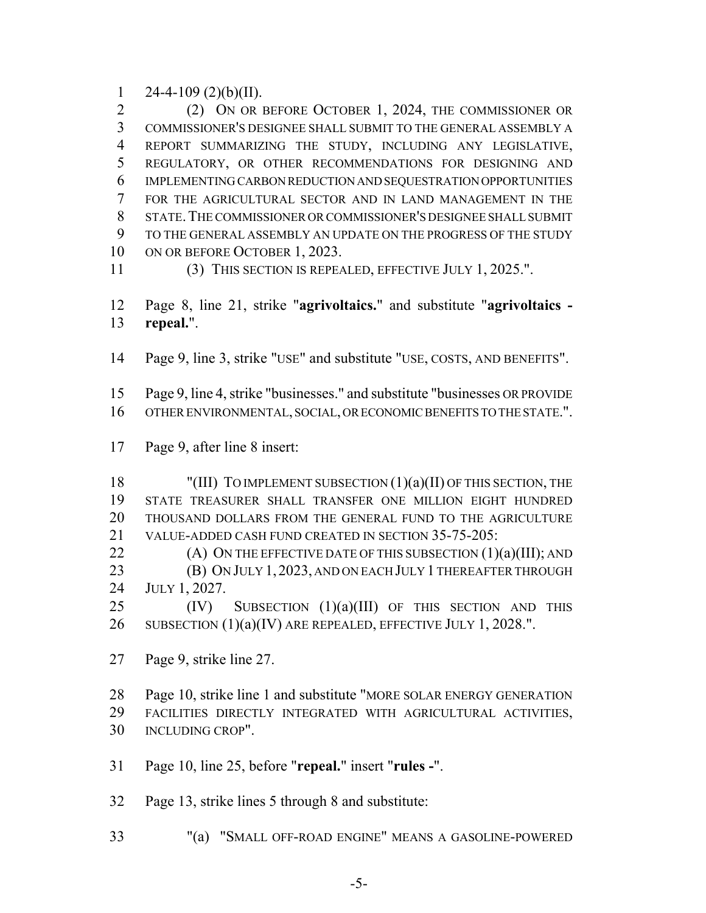1 24-4-109  $(2)(b)(II)$ .

 (2) ON OR BEFORE OCTOBER 1, 2024, THE COMMISSIONER OR COMMISSIONER'S DESIGNEE SHALL SUBMIT TO THE GENERAL ASSEMBLY A REPORT SUMMARIZING THE STUDY, INCLUDING ANY LEGISLATIVE, REGULATORY, OR OTHER RECOMMENDATIONS FOR DESIGNING AND IMPLEMENTING CARBON REDUCTION AND SEQUESTRATION OPPORTUNITIES FOR THE AGRICULTURAL SECTOR AND IN LAND MANAGEMENT IN THE STATE.THE COMMISSIONER OR COMMISSIONER'S DESIGNEE SHALL SUBMIT TO THE GENERAL ASSEMBLY AN UPDATE ON THE PROGRESS OF THE STUDY 10 ON OR BEFORE OCTOBER 1, 2023.

(3) THIS SECTION IS REPEALED, EFFECTIVE JULY 1, 2025.".

 Page 8, line 21, strike "**agrivoltaics.**" and substitute "**agrivoltaics - repeal.**".

Page 9, line 3, strike "USE" and substitute "USE, COSTS, AND BENEFITS".

 Page 9, line 4, strike "businesses." and substitute "businesses OR PROVIDE OTHER ENVIRONMENTAL, SOCIAL, OR ECONOMIC BENEFITS TO THE STATE.".

Page 9, after line 8 insert:

18 "(III) TO IMPLEMENT SUBSECTION (1)(a)(II) OF THIS SECTION, THE STATE TREASURER SHALL TRANSFER ONE MILLION EIGHT HUNDRED THOUSAND DOLLARS FROM THE GENERAL FUND TO THE AGRICULTURE VALUE-ADDED CASH FUND CREATED IN SECTION 35-75-205:  $(A)$  ON THE EFFECTIVE DATE OF THIS SUBSECTION  $(1)(a)(III)$ ; AND

**(B) ON JULY 1, 2023, AND ON EACH JULY 1 THEREAFTER THROUGH** 

JULY 1, 2027.

25 (IV) SUBSECTION (1)(a)(III) OF THIS SECTION AND THIS 26 SUBSECTION  $(1)(a)(IV)$  ARE REPEALED, EFFECTIVE JULY 1, 2028.".

Page 9, strike line 27.

 Page 10, strike line 1 and substitute "MORE SOLAR ENERGY GENERATION FACILITIES DIRECTLY INTEGRATED WITH AGRICULTURAL ACTIVITIES, INCLUDING CROP".

Page 10, line 25, before "**repeal.**" insert "**rules -**".

Page 13, strike lines 5 through 8 and substitute:

"(a) "SMALL OFF-ROAD ENGINE" MEANS A GASOLINE-POWERED